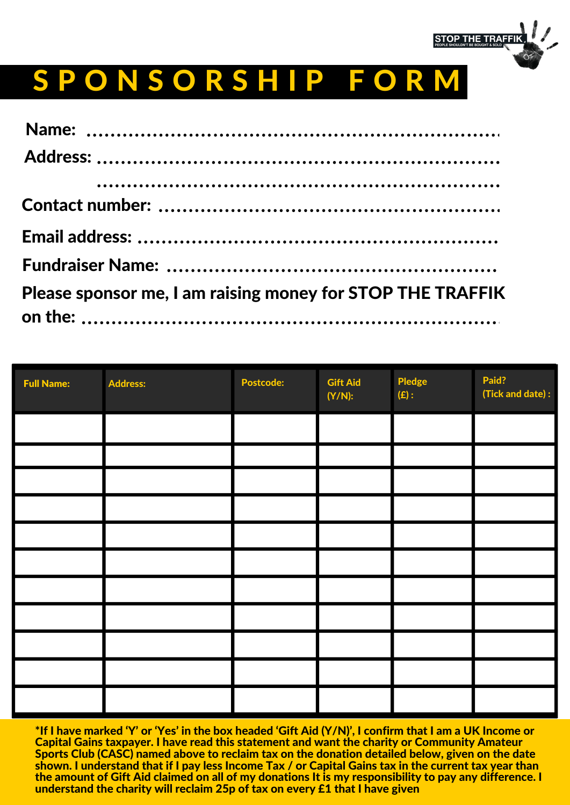

## S P O N S O R S H I P F O R M

| Please sponsor me, I am raising money for STOP THE TRAFFIK |
|------------------------------------------------------------|

| <b>Full Name:</b> | <b>Address:</b> | <b>Postcode:</b> | <b>Gift Aid</b><br>$(Y/N)$ : | <b>Pledge</b><br>(E): | Paid?<br>(Tick and date): |
|-------------------|-----------------|------------------|------------------------------|-----------------------|---------------------------|
|                   |                 |                  |                              |                       |                           |
|                   |                 |                  |                              |                       |                           |
|                   |                 |                  |                              |                       |                           |
|                   |                 |                  |                              |                       |                           |
|                   |                 |                  |                              |                       |                           |
|                   |                 |                  |                              |                       |                           |
|                   |                 |                  |                              |                       |                           |
|                   |                 |                  |                              |                       |                           |
|                   |                 |                  |                              |                       |                           |
|                   |                 |                  |                              |                       |                           |
|                   |                 |                  |                              |                       |                           |

\*If I have marked 'Y' or 'Yes' in the box headed 'Gift Aid (Y/N)', I confirm that I am a UK Income or Capital Gains taxpayer. I have read this statement and want the charity or Community Amateur Sports Club (CASC) named above to reclaim tax on the donation detailed below, given on the date shown. I understand that if I pay less Income Tax / or Capital Gains tax in the current tax year than the amount of Gift Aid claimed on all of my donations It is my responsibility to pay any difference. I understand the charity will reclaim 25p of tax on every £1 that I have given